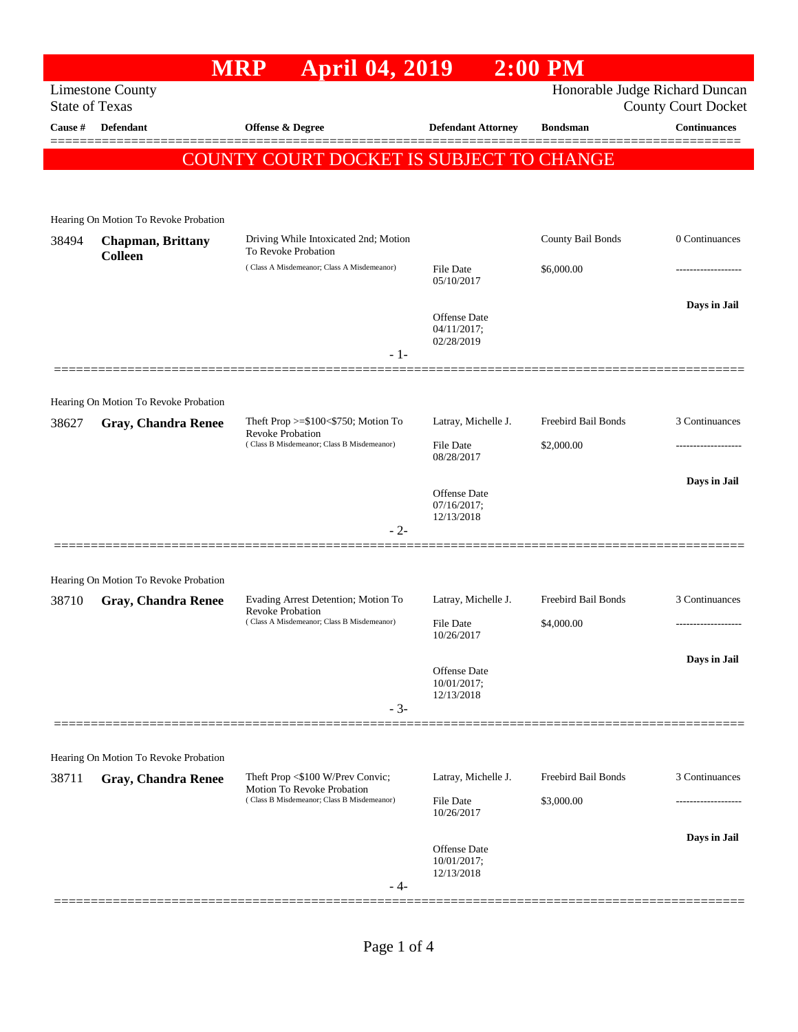## **MRP April 04, 2019 2:00 PM** Limestone County Honorable Judge Richard Duncan State of Texas County Court Docket **Cause # Defendant Offense & Degree Defendant Attorney Bondsman Continuances** ============================================================================================== COUNTY COURT DOCKET IS SUBJECT TO CHANGE Hearing On Motion To Revoke Probation 38494 **Chapman, Brittany Colleen** Driving While Intoxicated 2nd; Motion To Revoke Probation County Bail Bonds 0 Continuances ( Class A Misdemeanor; Class A Misdemeanor) File Date \$6,000.00 05/10/2017 **Days in Jail**  Offense Date 04/11/2017; 02/28/2019 - 1- ============================================================================================== Hearing On Motion To Revoke Probation 38627 **Gray, Chandra Renee** Theft Prop >=\$100<\$750; Motion To Revoke Probation Latray, Michelle J. Freebird Bail Bonds 3 Continuances ( Class B Misdemeanor; Class B Misdemeanor) File Date \$2,000.00 08/28/2017 **Days in Jail**  Offense Date 07/16/2017; 12/13/2018 - 2- ============================================================================================== Hearing On Motion To Revoke Probation 38710 **Gray, Chandra Renee** Evading Arrest Detention; Motion To Revoke Probation Latray, Michelle J. Freebird Bail Bonds 3 Continuances ( Class A Misdemeanor; Class B Misdemeanor) File Date \$4,000.00 10/26/2017 **Days in Jail**  Offense Date 10/01/2017; 12/13/2018 - 3- ============================================================================================== Hearing On Motion To Revoke Probation 38711 **Gray, Chandra Renee** Theft Prop <\$100 W/Prev Convic; Motion To Revoke Probation Latray, Michelle J. Freebird Bail Bonds 3 Continuances ( Class B Misdemeanor; Class B Misdemeanor) File Date \$3,000.00 10/26/2017 **Days in Jail**  Offense Date 10/01/2017; 12/13/2018 - 4- ==============================================================================================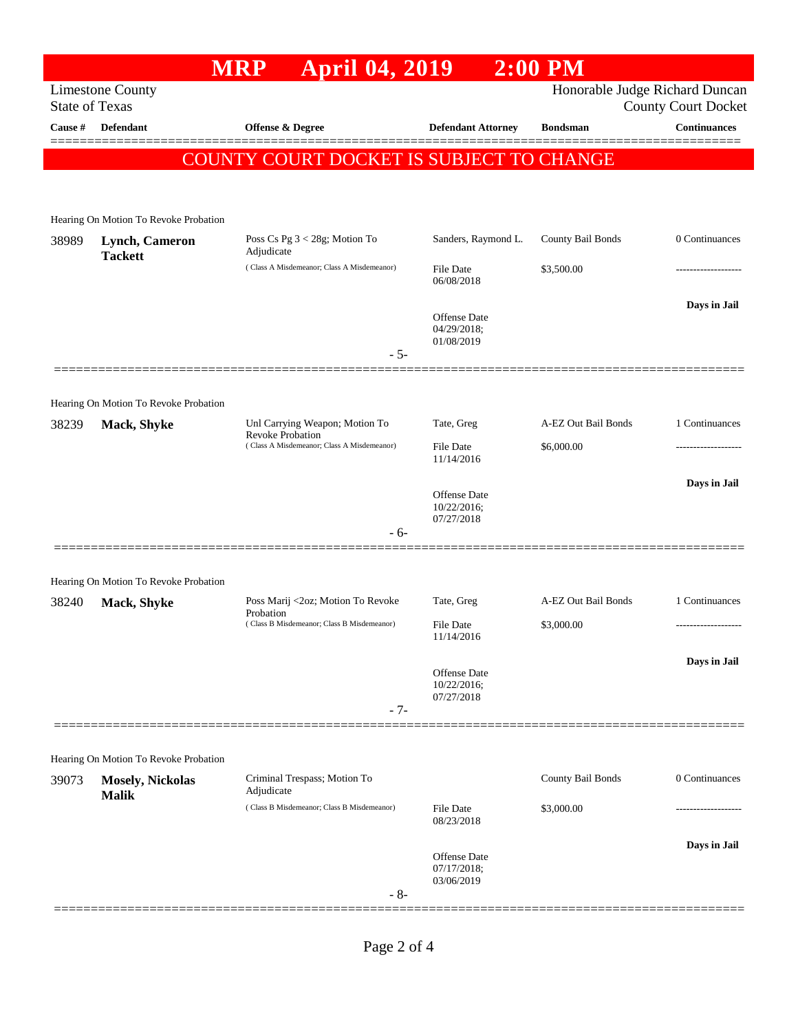|                       |                                         | <b>MRP</b>                                     | <b>April 04, 2019</b>                                          |                                                  | $2:00$ PM                                |                                                              |
|-----------------------|-----------------------------------------|------------------------------------------------|----------------------------------------------------------------|--------------------------------------------------|------------------------------------------|--------------------------------------------------------------|
| <b>State of Texas</b> | <b>Limestone County</b>                 |                                                |                                                                |                                                  |                                          | Honorable Judge Richard Duncan<br><b>County Court Docket</b> |
| Cause #               | Defendant                               | <b>Offense &amp; Degree</b>                    |                                                                | <b>Defendant Attorney</b>                        | <b>Bondsman</b>                          | <b>Continuances</b>                                          |
|                       |                                         |                                                |                                                                |                                                  | COUNTY COURT DOCKET IS SUBJECT TO CHANGE |                                                              |
|                       |                                         |                                                |                                                                |                                                  |                                          |                                                              |
|                       | Hearing On Motion To Revoke Probation   |                                                |                                                                |                                                  |                                          |                                                              |
| 38989                 | Lynch, Cameron<br><b>Tackett</b>        | Poss Cs Pg 3 < 28g; Motion To<br>Adjudicate    | Sanders, Raymond L.                                            | County Bail Bonds                                | 0 Continuances                           |                                                              |
|                       |                                         |                                                | (Class A Misdemeanor; Class A Misdemeanor)                     | <b>File Date</b><br>06/08/2018                   | \$3,500.00                               |                                                              |
|                       |                                         |                                                |                                                                | Offense Date                                     |                                          | Days in Jail                                                 |
|                       |                                         |                                                |                                                                | 04/29/2018;<br>01/08/2019                        |                                          |                                                              |
|                       |                                         |                                                |                                                                | $-5-$                                            |                                          |                                                              |
|                       | Hearing On Motion To Revoke Probation   |                                                |                                                                |                                                  |                                          |                                                              |
| 38239                 | Mack, Shyke                             |                                                | Unl Carrying Weapon; Motion To                                 | Tate, Greg                                       | A-EZ Out Bail Bonds                      | 1 Continuances                                               |
|                       |                                         |                                                | Revoke Probation<br>(Class A Misdemeanor; Class A Misdemeanor) | <b>File Date</b><br>11/14/2016                   | \$6,000.00                               |                                                              |
|                       |                                         |                                                |                                                                | Offense Date                                     |                                          | Days in Jail                                                 |
|                       |                                         |                                                |                                                                | 10/22/2016;<br>07/27/2018                        |                                          |                                                              |
|                       |                                         |                                                |                                                                | $-6-$                                            |                                          |                                                              |
|                       | Hearing On Motion To Revoke Probation   |                                                |                                                                |                                                  |                                          |                                                              |
| 38240                 | Mack, Shyke                             | Poss Marij <2oz; Motion To Revoke<br>Probation |                                                                | Tate, Greg                                       | A-EZ Out Bail Bonds                      | 1 Continuances                                               |
|                       |                                         | (Class B Misdemeanor; Class B Misdemeanor)     |                                                                | File Date<br>11/14/2016                          | \$3,000.00                               |                                                              |
|                       |                                         |                                                |                                                                |                                                  |                                          | Days in Jail                                                 |
|                       |                                         |                                                |                                                                | <b>Offense</b> Date<br>10/22/2016;<br>07/27/2018 |                                          |                                                              |
|                       |                                         |                                                |                                                                | $-7-$                                            |                                          |                                                              |
|                       |                                         |                                                |                                                                |                                                  |                                          |                                                              |
|                       | Hearing On Motion To Revoke Probation   |                                                | Criminal Trespass; Motion To                                   |                                                  | County Bail Bonds                        | 0 Continuances                                               |
| 39073                 | <b>Mosely, Nickolas</b><br><b>Malik</b> | Adjudicate                                     |                                                                | <b>File Date</b>                                 |                                          |                                                              |
|                       |                                         |                                                | (Class B Misdemeanor; Class B Misdemeanor)                     |                                                  | \$3,000.00<br>08/23/2018                 | -------------                                                |
|                       |                                         |                                                |                                                                | Offense Date                                     |                                          | Days in Jail                                                 |
|                       |                                         |                                                |                                                                | 07/17/2018;<br>03/06/2019                        |                                          |                                                              |
|                       |                                         |                                                |                                                                | $-8-$                                            |                                          |                                                              |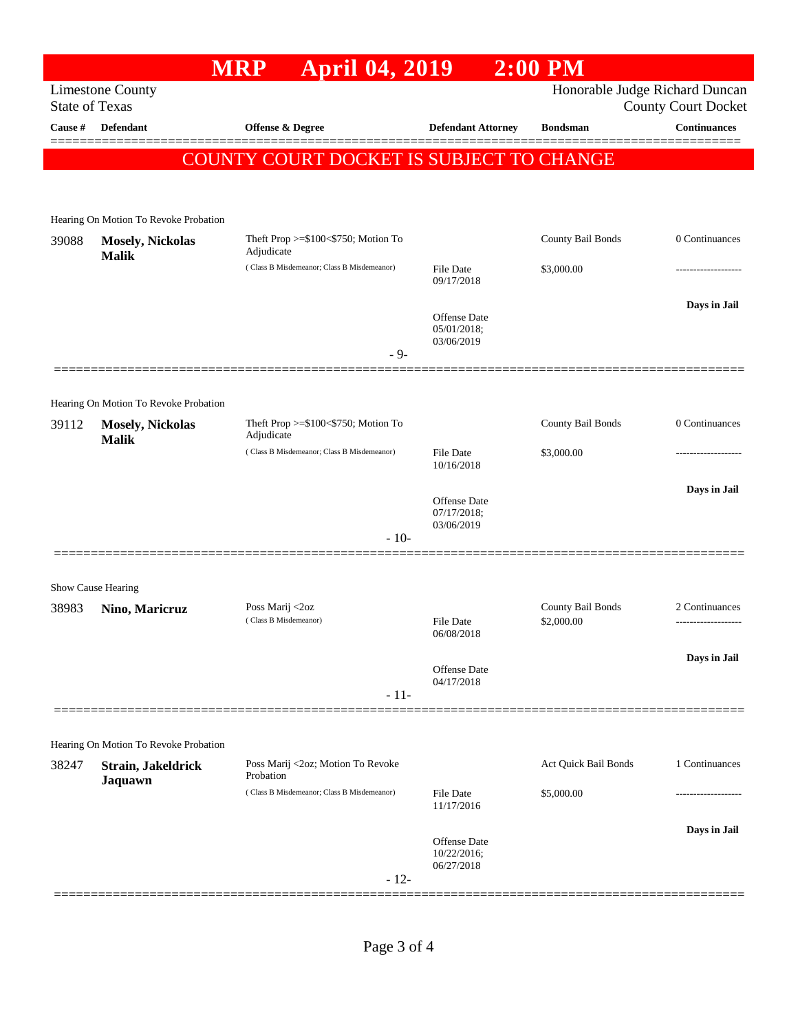|         |                                                  | <b>MRP</b><br><b>April 04, 2019</b>               |                                                  | $2:00$ PM                       |                                      |
|---------|--------------------------------------------------|---------------------------------------------------|--------------------------------------------------|---------------------------------|--------------------------------------|
|         | <b>Limestone County</b><br><b>State of Texas</b> |                                                   |                                                  | Honorable Judge Richard Duncan  | <b>County Court Docket</b>           |
| Cause # | <b>Defendant</b>                                 | Offense & Degree                                  | <b>Defendant Attorney</b>                        | <b>Bondsman</b>                 | <b>Continuances</b>                  |
|         |                                                  | COUNTY COURT DOCKET IS SUBJECT TO CHANGE          |                                                  |                                 |                                      |
|         |                                                  |                                                   |                                                  |                                 |                                      |
|         |                                                  |                                                   |                                                  |                                 |                                      |
|         | Hearing On Motion To Revoke Probation            |                                                   |                                                  |                                 |                                      |
| 39088   | <b>Mosely, Nickolas</b><br><b>Malik</b>          | Theft Prop >=\$100<\$750; Motion To<br>Adjudicate |                                                  | County Bail Bonds               | 0 Continuances                       |
|         |                                                  | (Class B Misdemeanor; Class B Misdemeanor)        | File Date<br>09/17/2018                          | \$3,000.00                      |                                      |
|         |                                                  |                                                   |                                                  |                                 | Days in Jail                         |
|         |                                                  |                                                   | <b>Offense Date</b><br>05/01/2018;<br>03/06/2019 |                                 |                                      |
|         |                                                  |                                                   | $-9-$                                            |                                 |                                      |
|         |                                                  |                                                   |                                                  |                                 |                                      |
|         | Hearing On Motion To Revoke Probation            |                                                   |                                                  |                                 |                                      |
| 39112   | <b>Mosely, Nickolas</b><br><b>Malik</b>          | Theft Prop >=\$100<\$750; Motion To<br>Adjudicate |                                                  | County Bail Bonds               | 0 Continuances                       |
|         |                                                  | (Class B Misdemeanor; Class B Misdemeanor)        | File Date<br>10/16/2018                          | \$3,000.00                      |                                      |
|         |                                                  |                                                   |                                                  |                                 | Days in Jail                         |
|         |                                                  |                                                   | Offense Date<br>07/17/2018;                      |                                 |                                      |
|         |                                                  |                                                   | 03/06/2019<br>$-10-$                             |                                 |                                      |
|         |                                                  |                                                   |                                                  |                                 |                                      |
|         | Show Cause Hearing                               |                                                   |                                                  |                                 |                                      |
| 38983   | Nino, Maricruz                                   | Poss Marij <2oz<br>(Class B Misdemeanor)          | File Date                                        | County Bail Bonds<br>\$2,000.00 | 2 Continuances<br>------------------ |
|         |                                                  |                                                   | 06/08/2018                                       |                                 |                                      |
|         |                                                  |                                                   | <b>Offense Date</b>                              |                                 | Days in Jail                         |
|         |                                                  |                                                   | 04/17/2018<br>$-11-$                             |                                 |                                      |
|         |                                                  |                                                   |                                                  |                                 |                                      |
|         | Hearing On Motion To Revoke Probation            |                                                   |                                                  |                                 |                                      |
| 38247   | Strain, Jakeldrick                               | Poss Marij <2oz; Motion To Revoke<br>Probation    |                                                  | Act Quick Bail Bonds            | 1 Continuances                       |
|         | Jaquawn                                          | (Class B Misdemeanor; Class B Misdemeanor)        | File Date                                        | \$5,000.00                      | .                                    |
|         |                                                  |                                                   | 11/17/2016                                       |                                 | Days in Jail                         |
|         |                                                  |                                                   | <b>Offense Date</b><br>10/22/2016;               |                                 |                                      |
|         |                                                  |                                                   | 06/27/2018<br>$-12-$                             |                                 |                                      |
|         |                                                  |                                                   |                                                  |                                 |                                      |